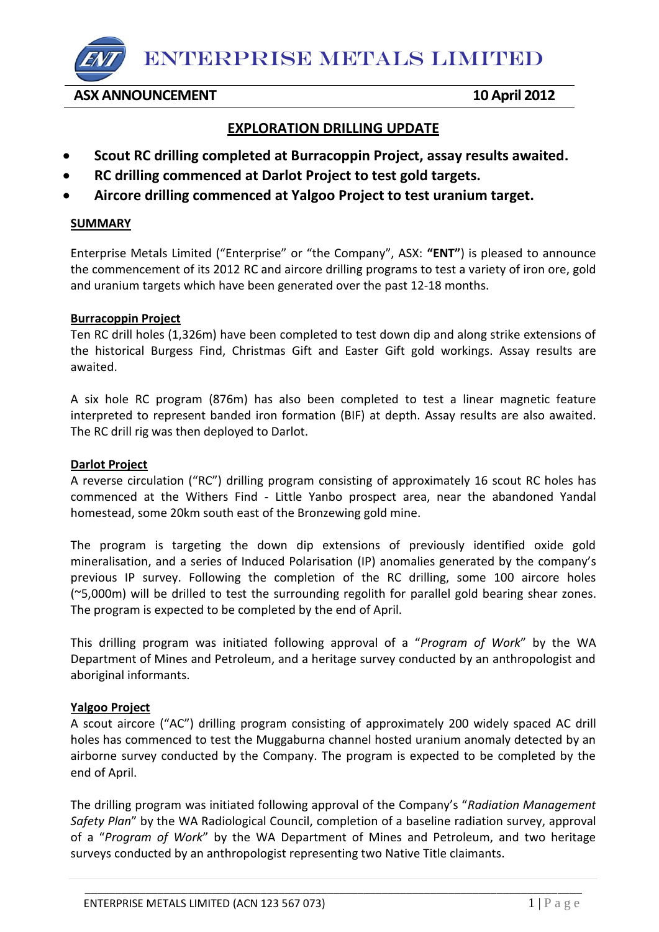ENTERPRISE METALS LIMITED

**ASX ANNOUNCEMENT 10 April 2012** 

# **EXPLORATION DRILLING UPDATE**

- **Scout RC drilling completed at Burracoppin Project, assay results awaited.**
- **RC drilling commenced at Darlot Project to test gold targets.**
- **Aircore drilling commenced at Yalgoo Project to test uranium target.**

### **SUMMARY**

Enterprise Metals Limited ("Enterprise" or "the Company", ASX: **"ENT"**) is pleased to announce the commencement of its 2012 RC and aircore drilling programs to test a variety of iron ore, gold and uranium targets which have been generated over the past 12-18 months.

#### **Burracoppin Project**

Ten RC drill holes (1,326m) have been completed to test down dip and along strike extensions of the historical Burgess Find, Christmas Gift and Easter Gift gold workings. Assay results are awaited.

A six hole RC program (876m) has also been completed to test a linear magnetic feature interpreted to represent banded iron formation (BIF) at depth. Assay results are also awaited. The RC drill rig was then deployed to Darlot.

#### **Darlot Project**

A reverse circulation ("RC") drilling program consisting of approximately 16 scout RC holes has commenced at the Withers Find - Little Yanbo prospect area, near the abandoned Yandal homestead, some 20km south east of the Bronzewing gold mine.

The program is targeting the down dip extensions of previously identified oxide gold mineralisation, and a series of Induced Polarisation (IP) anomalies generated by the company's previous IP survey. Following the completion of the RC drilling, some 100 aircore holes (~5,000m) will be drilled to test the surrounding regolith for parallel gold bearing shear zones. The program is expected to be completed by the end of April.

This drilling program was initiated following approval of a "*Program of Work*" by the WA Department of Mines and Petroleum, and a heritage survey conducted by an anthropologist and aboriginal informants.

## **Yalgoo Project**

A scout aircore ("AC") drilling program consisting of approximately 200 widely spaced AC drill holes has commenced to test the Muggaburna channel hosted uranium anomaly detected by an airborne survey conducted by the Company. The program is expected to be completed by the end of April.

The drilling program was initiated following approval of the Company's "*Radiation Management Safety Plan*" by the WA Radiological Council, completion of a baseline radiation survey, approval of a "*Program of Work*" by the WA Department of Mines and Petroleum, and two heritage surveys conducted by an anthropologist representing two Native Title claimants.